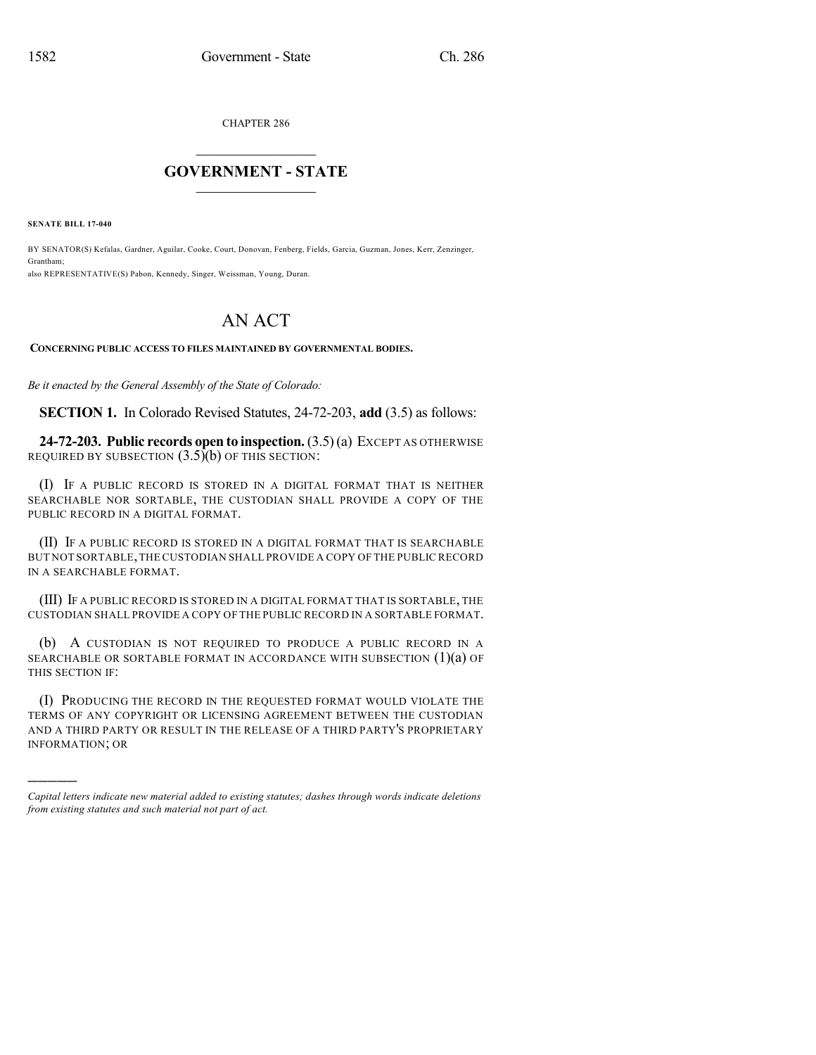CHAPTER 286

## $\overline{\phantom{a}}$  . The set of the set of the set of the set of the set of the set of the set of the set of the set of the set of the set of the set of the set of the set of the set of the set of the set of the set of the set o **GOVERNMENT - STATE**  $\_$

**SENATE BILL 17-040**

)))))

BY SENATOR(S) Kefalas, Gardner, Aguilar, Cooke, Court, Donovan, Fenberg, Fields, Garcia, Guzman, Jones, Kerr, Zenzinger, Grantham; also REPRESENTATIVE(S) Pabon, Kennedy, Singer, Weissman, Young, Duran.

## AN ACT

## **CONCERNING PUBLIC ACCESS TO FILES MAINTAINED BY GOVERNMENTAL BODIES.**

*Be it enacted by the General Assembly of the State of Colorado:*

**SECTION 1.** In Colorado Revised Statutes, 24-72-203, **add** (3.5) as follows:

**24-72-203. Public records open to inspection.**(3.5)(a) EXCEPT AS OTHERWISE REQUIRED BY SUBSECTION  $(3.5)(b)$  OF THIS SECTION:

(I) IF A PUBLIC RECORD IS STORED IN A DIGITAL FORMAT THAT IS NEITHER SEARCHABLE NOR SORTABLE, THE CUSTODIAN SHALL PROVIDE A COPY OF THE PUBLIC RECORD IN A DIGITAL FORMAT.

(II) IF A PUBLIC RECORD IS STORED IN A DIGITAL FORMAT THAT IS SEARCHABLE BUT NOT SORTABLE,THE CUSTODIAN SHALL PROVIDE A COPY OF THE PUBLIC RECORD IN A SEARCHABLE FORMAT.

(III) IF A PUBLIC RECORD IS STORED IN A DIGITAL FORMAT THAT IS SORTABLE, THE CUSTODIAN SHALL PROVIDE A COPY OF THE PUBLIC RECORD IN A SORTABLE FORMAT.

(b) A CUSTODIAN IS NOT REQUIRED TO PRODUCE A PUBLIC RECORD IN A SEARCHABLE OR SORTABLE FORMAT IN ACCORDANCE WITH SUBSECTION  $(1)(a)$  OF THIS SECTION IF:

(I) PRODUCING THE RECORD IN THE REQUESTED FORMAT WOULD VIOLATE THE TERMS OF ANY COPYRIGHT OR LICENSING AGREEMENT BETWEEN THE CUSTODIAN AND A THIRD PARTY OR RESULT IN THE RELEASE OF A THIRD PARTY'S PROPRIETARY INFORMATION; OR

*Capital letters indicate new material added to existing statutes; dashes through words indicate deletions from existing statutes and such material not part of act.*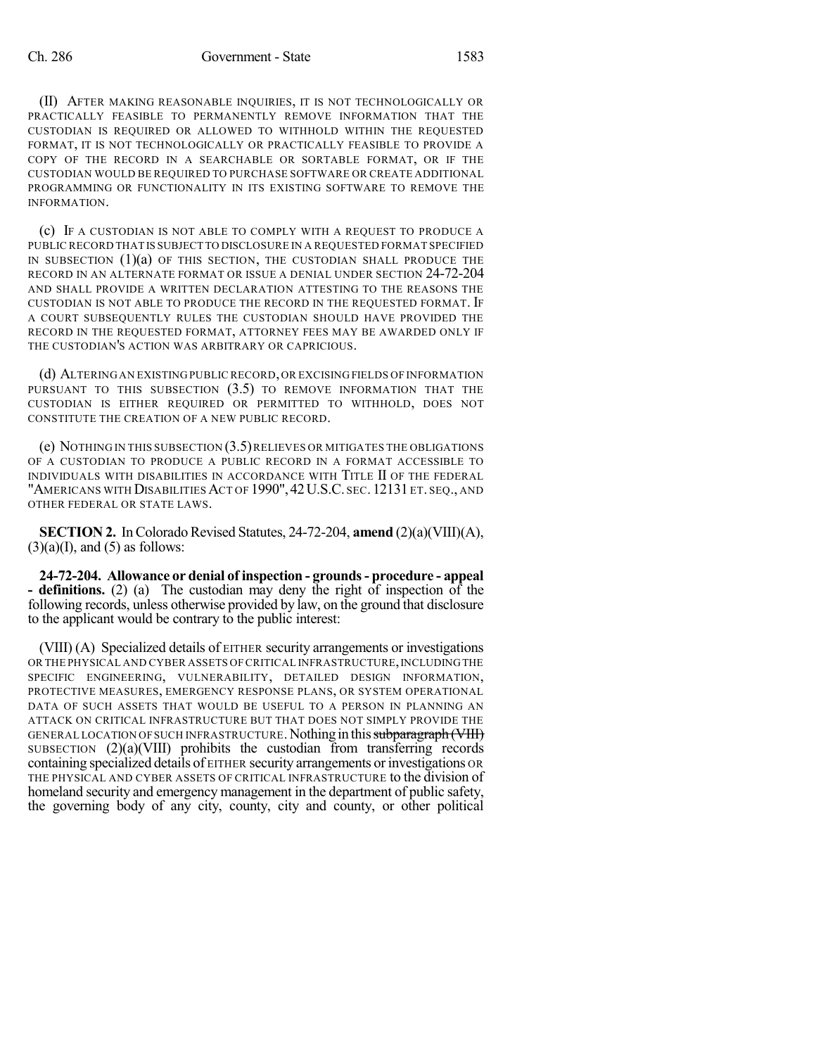(II) AFTER MAKING REASONABLE INQUIRIES, IT IS NOT TECHNOLOGICALLY OR PRACTICALLY FEASIBLE TO PERMANENTLY REMOVE INFORMATION THAT THE CUSTODIAN IS REQUIRED OR ALLOWED TO WITHHOLD WITHIN THE REQUESTED FORMAT, IT IS NOT TECHNOLOGICALLY OR PRACTICALLY FEASIBLE TO PROVIDE A COPY OF THE RECORD IN A SEARCHABLE OR SORTABLE FORMAT, OR IF THE CUSTODIAN WOULD BE REQUIRED TO PURCHASE SOFTWARE OR CREATE ADDITIONAL PROGRAMMING OR FUNCTIONALITY IN ITS EXISTING SOFTWARE TO REMOVE THE INFORMATION.

(c) IF A CUSTODIAN IS NOT ABLE TO COMPLY WITH A REQUEST TO PRODUCE A PUBLIC RECORD THAT IS SUBJECT TO DISCLOSURE IN A REQUESTED FORMAT SPECIFIED IN SUBSECTION  $(1)(a)$  of this section, the custodian shall produce the RECORD IN AN ALTERNATE FORMAT OR ISSUE A DENIAL UNDER SECTION 24-72-204 AND SHALL PROVIDE A WRITTEN DECLARATION ATTESTING TO THE REASONS THE CUSTODIAN IS NOT ABLE TO PRODUCE THE RECORD IN THE REQUESTED FORMAT. IF A COURT SUBSEQUENTLY RULES THE CUSTODIAN SHOULD HAVE PROVIDED THE RECORD IN THE REQUESTED FORMAT, ATTORNEY FEES MAY BE AWARDED ONLY IF THE CUSTODIAN'S ACTION WAS ARBITRARY OR CAPRICIOUS.

(d) ALTERING AN EXISTING PUBLIC RECORD,OR EXCISINGFIELDS OF INFORMATION PURSUANT TO THIS SUBSECTION  $(3.5)$  to remove information that the CUSTODIAN IS EITHER REQUIRED OR PERMITTED TO WITHHOLD, DOES NOT CONSTITUTE THE CREATION OF A NEW PUBLIC RECORD.

(e) NOTHING IN THIS SUBSECTION (3.5)RELIEVES OR MITIGATES THE OBLIGATIONS OF A CUSTODIAN TO PRODUCE A PUBLIC RECORD IN A FORMAT ACCESSIBLE TO INDIVIDUALS WITH DISABILITIES IN ACCORDANCE WITH TITLE II OF THE FEDERAL "AMERICANS WITH DISABILITIES ACT OF 1990", 42U.S.C. SEC. 12131 ET. SEQ., AND OTHER FEDERAL OR STATE LAWS.

**SECTION 2.** In Colorado Revised Statutes, 24-72-204, **amend** (2)(a)(VIII)(A),  $(3)(a)(I)$ , and  $(5)$  as follows:

**24-72-204. Allowance or denial of inspection - grounds- procedure - appeal - definitions.** (2) (a) The custodian may deny the right of inspection of the following records, unless otherwise provided by law, on the ground that disclosure to the applicant would be contrary to the public interest:

(VIII) (A) Specialized details of EITHER security arrangements or investigations OR THE PHYSICAL AND CYBER ASSETS OF CRITICAL INFRASTRUCTURE,INCLUDINGTHE SPECIFIC ENGINEERING, VULNERABILITY, DETAILED DESIGN INFORMATION, PROTECTIVE MEASURES, EMERGENCY RESPONSE PLANS, OR SYSTEM OPERATIONAL DATA OF SUCH ASSETS THAT WOULD BE USEFUL TO A PERSON IN PLANNING AN ATTACK ON CRITICAL INFRASTRUCTURE BUT THAT DOES NOT SIMPLY PROVIDE THE GENERAL LOCATION OF SUCH INFRASTRUCTURE. Nothing in this subparagraph (VIII) SUBSECTION  $(2)(a)(VIII)$  prohibits the custodian from transferring records containing specialized details of EITHER security arrangements or investigations OR THE PHYSICAL AND CYBER ASSETS OF CRITICAL INFRASTRUCTURE to the division of homeland security and emergency management in the department of public safety, the governing body of any city, county, city and county, or other political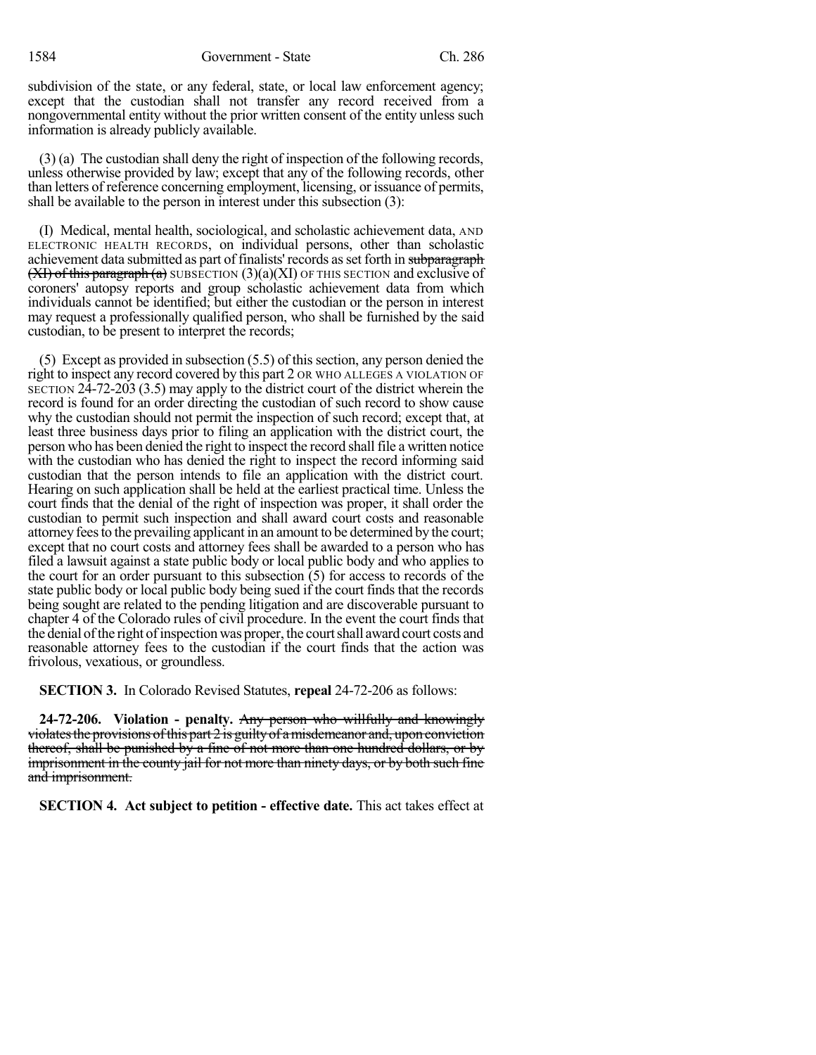subdivision of the state, or any federal, state, or local law enforcement agency; except that the custodian shall not transfer any record received from a nongovernmental entity without the prior written consent of the entity unless such information is already publicly available.

(3) (a) The custodian shall deny the right of inspection of the following records, unless otherwise provided by law; except that any of the following records, other than letters of reference concerning employment, licensing, or issuance of permits, shall be available to the person in interest under this subsection (3):

(I) Medical, mental health, sociological, and scholastic achievement data, AND ELECTRONIC HEALTH RECORDS, on individual persons, other than scholastic achievement data submitted as part of finalists' records as set forth in subparagraph  $(XI)$  of this paragraph (a) SUBSECTION  $(3)(a)(XI)$  OF THIS SECTION and exclusive of coroners' autopsy reports and group scholastic achievement data from which individuals cannot be identified; but either the custodian or the person in interest may request a professionally qualified person, who shall be furnished by the said custodian, to be present to interpret the records;

(5) Except as provided in subsection (5.5) of this section, any person denied the right to inspect any record covered by this part 2 OR WHO ALLEGES A VIOLATION OF SECTION 24-72-203 (3.5) may apply to the district court of the district wherein the record is found for an order directing the custodian of such record to show cause why the custodian should not permit the inspection of such record; except that, at least three business days prior to filing an application with the district court, the person who has been denied the right to inspect the record shall file a written notice with the custodian who has denied the right to inspect the record informing said custodian that the person intends to file an application with the district court. Hearing on such application shall be held at the earliest practical time. Unless the court finds that the denial of the right of inspection was proper, it shall order the custodian to permit such inspection and shall award court costs and reasonable attorney fees to the prevailing applicant in an amount to be determined by the court; except that no court costs and attorney fees shall be awarded to a person who has filed a lawsuit against a state public body or local public body and who applies to the court for an order pursuant to this subsection (5) for access to records of the state public body or local public body being sued if the court finds that the records being sought are related to the pending litigation and are discoverable pursuant to chapter 4 of the Colorado rules of civil procedure. In the event the court finds that the denial of the right of inspection was proper, the court shall award court costs and reasonable attorney fees to the custodian if the court finds that the action was frivolous, vexatious, or groundless.

**SECTION 3.** In Colorado Revised Statutes, **repeal** 24-72-206 as follows:

**24-72-206. Violation - penalty.** Any person who willfully and knowingly violates the provisions of this part  $2$  is guilty of a misdemeanor and, upon conviction thereof, shall be punished by a fine of not more than one hundred dollars, or by imprisonment in the county jail for not more than ninety days, or by both such fine and imprisonment.

**SECTION 4. Act subject to petition - effective date.** This act takes effect at